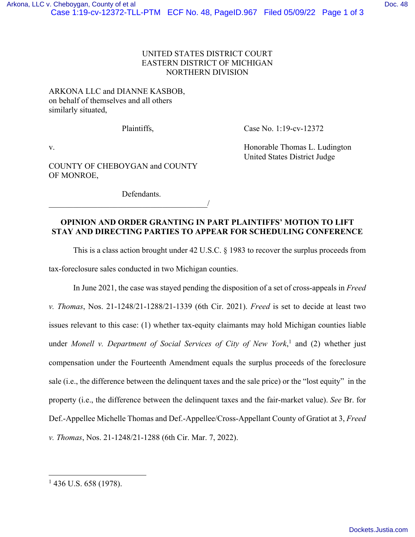## UNITED STATES DISTRICT COURT EASTERN DISTRICT OF MICHIGAN NORTHERN DIVISION

## ARKONA LLC and DIANNE KASBOB, on behalf of themselves and all others similarly situated,

Plaintiffs, Case No. 1:19-cv-12372

COUNTY OF CHEBOYGAN and COUNTY OF MONROE,

 $\overline{\phantom{a}}$ 

v. **Example 2018** V. Honorable Thomas L. Ludington United States District Judge

Defendants.

## **OPINION AND ORDER GRANTING IN PART PLAINTIFFS' MOTION TO LIFT STAY AND DIRECTING PARTIES TO APPEAR FOR SCHEDULING CONFERENCE**

This is a class action brought under 42 U.S.C. § 1983 to recover the surplus proceeds from

tax-foreclosure sales conducted in two Michigan counties.

In June 2021, the case was stayed pending the disposition of a set of cross-appeals in *Freed v. Thomas*, Nos. 21-1248/21-1288/21-1339 (6th Cir. 2021). *Freed* is set to decide at least two issues relevant to this case: (1) whether tax-equity claimants may hold Michigan counties liable under *Monell v. Department of Social Services of City of New York*, 1 and (2) whether just compensation under the Fourteenth Amendment equals the surplus proceeds of the foreclosure sale (i.e., the difference between the delinquent taxes and the sale price) or the "lost equity" in the property (i.e., the difference between the delinquent taxes and the fair-market value). *See* Br. for Def.-Appellee Michelle Thomas and Def.-Appellee/Cross-Appellant County of Gratiot at 3, *Freed v. Thomas*, Nos. 21-1248/21-1288 (6th Cir. Mar. 7, 2022).

 $1$  436 U.S. 658 (1978).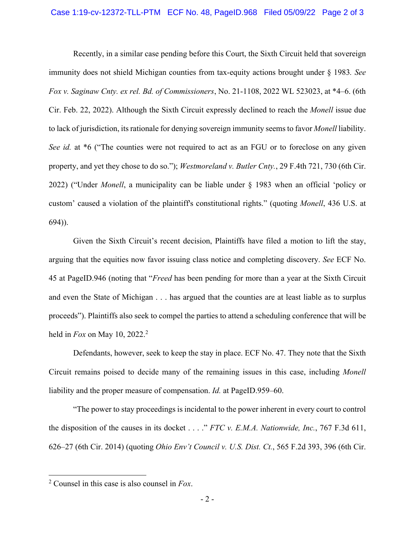Recently, in a similar case pending before this Court, the Sixth Circuit held that sovereign immunity does not shield Michigan counties from tax-equity actions brought under § 1983*. See Fox v. Saginaw Cnty. ex rel. Bd. of Commissioners*, No. 21-1108, 2022 WL 523023, at \*4–6. (6th Cir. Feb. 22, 2022). Although the Sixth Circuit expressly declined to reach the *Monell* issue due to lack of jurisdiction, its rationale for denying sovereign immunity seems to favor *Monell* liability. *See id.* at \*6 ("The counties were not required to act as an FGU or to foreclose on any given property, and yet they chose to do so."); *Westmoreland v. Butler Cnty.*, 29 F.4th 721, 730 (6th Cir. 2022) ("Under *Monell*, a municipality can be liable under § 1983 when an official 'policy or custom' caused a violation of the plaintiff's constitutional rights." (quoting *Monell*, 436 U.S. at 694)).

 Given the Sixth Circuit's recent decision, Plaintiffs have filed a motion to lift the stay, arguing that the equities now favor issuing class notice and completing discovery. *See* ECF No. 45 at PageID.946 (noting that "*Freed* has been pending for more than a year at the Sixth Circuit and even the State of Michigan . . . has argued that the counties are at least liable as to surplus proceeds"). Plaintiffs also seek to compel the parties to attend a scheduling conference that will be held in *Fox* on May 10, 2022.<sup>2</sup>

Defendants, however, seek to keep the stay in place. ECF No. 47. They note that the Sixth Circuit remains poised to decide many of the remaining issues in this case, including *Monell* liability and the proper measure of compensation. *Id.* at PageID.959–60.

"The power to stay proceedings is incidental to the power inherent in every court to control the disposition of the causes in its docket . . . ." *FTC v. E.M.A. Nationwide, Inc.*, 767 F.3d 611, 626–27 (6th Cir. 2014) (quoting *Ohio Env't Council v. U.S. Dist. Ct.*, 565 F.2d 393, 396 (6th Cir.

<sup>2</sup> Counsel in this case is also counsel in *Fox*.